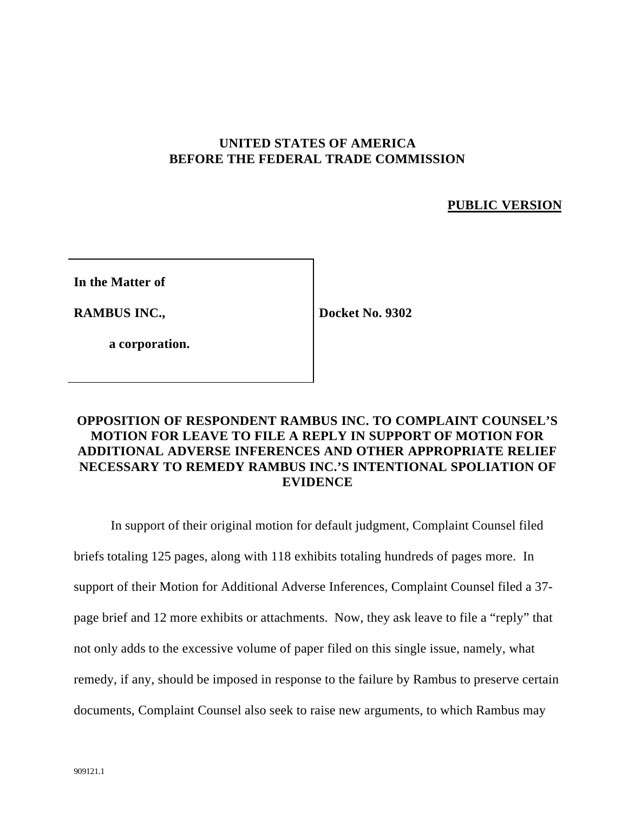## **UNITED STATES OF AMERICA BEFORE THE FEDERAL TRADE COMMISSION**

## **PUBLIC VERSION**

**In the Matter of**

**RAMBUS INC.,**

**Docket No. 9302**

**a corporation.**

# **OPPOSITION OF RESPONDENT RAMBUS INC. TO COMPLAINT COUNSEL'S MOTION FOR LEAVE TO FILE A REPLY IN SUPPORT OF MOTION FOR ADDITIONAL ADVERSE INFERENCES AND OTHER APPROPRIATE RELIEF NECESSARY TO REMEDY RAMBUS INC.'S INTENTIONAL SPOLIATION OF EVIDENCE**

In support of their original motion for default judgment, Complaint Counsel filed briefs totaling 125 pages, along with 118 exhibits totaling hundreds of pages more. In support of their Motion for Additional Adverse Inferences, Complaint Counsel filed a 37 page brief and 12 more exhibits or attachments. Now, they ask leave to file a "reply" that not only adds to the excessive volume of paper filed on this single issue, namely, what remedy, if any, should be imposed in response to the failure by Rambus to preserve certain documents, Complaint Counsel also seek to raise new arguments, to which Rambus may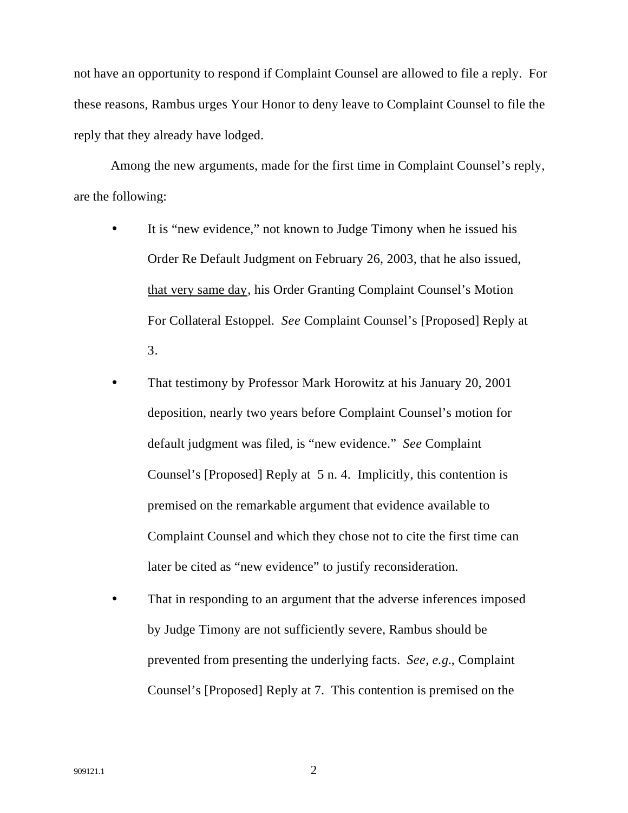not have an opportunity to respond if Complaint Counsel are allowed to file a reply. For these reasons, Rambus urges Your Honor to deny leave to Complaint Counsel to file the reply that they already have lodged.

Among the new arguments, made for the first time in Complaint Counsel's reply, are the following:

- It is "new evidence," not known to Judge Timony when he issued his Order Re Default Judgment on February 26, 2003, that he also issued, that very same day, his Order Granting Complaint Counsel's Motion For Collateral Estoppel. *See* Complaint Counsel's [Proposed] Reply at 3.
- That testimony by Professor Mark Horowitz at his January 20, 2001 deposition, nearly two years before Complaint Counsel's motion for default judgment was filed, is "new evidence." *See* Complaint Counsel's [Proposed] Reply at 5 n. 4. Implicitly, this contention is premised on the remarkable argument that evidence available to Complaint Counsel and which they chose not to cite the first time can later be cited as "new evidence" to justify reconsideration.
- That in responding to an argument that the adverse inferences imposed by Judge Timony are not sufficiently severe, Rambus should be prevented from presenting the underlying facts. *See, e.g.*, Complaint Counsel's [Proposed] Reply at 7. This contention is premised on the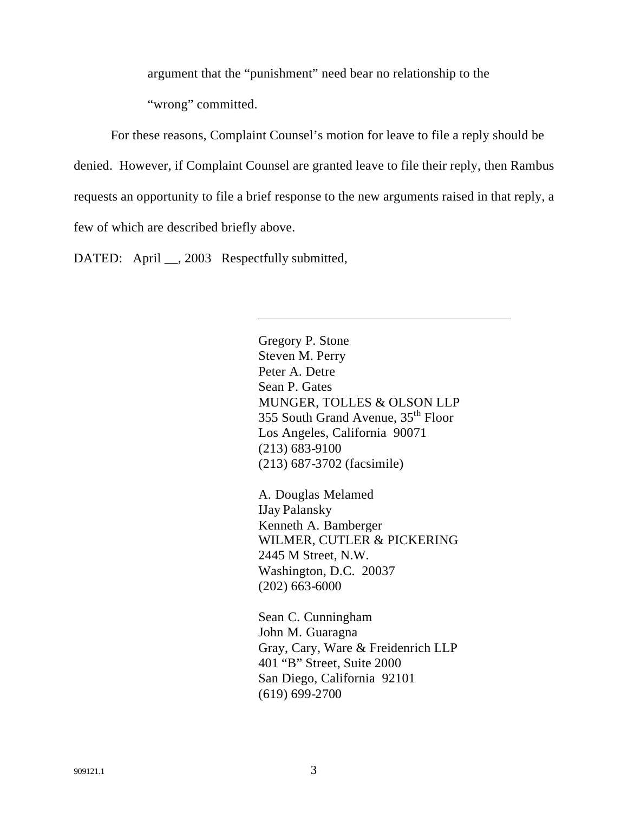argument that the "punishment" need bear no relationship to the

"wrong" committed.

For these reasons, Complaint Counsel's motion for leave to file a reply should be denied. However, if Complaint Counsel are granted leave to file their reply, then Rambus requests an opportunity to file a brief response to the new arguments raised in that reply, a few of which are described briefly above.

DATED: April \_\_, 2003 Respectfully submitted,

 $\overline{\phantom{a}}$ 

Gregory P. Stone Steven M. Perry Peter A. Detre Sean P. Gates MUNGER, TOLLES & OLSON LLP 355 South Grand Avenue, 35th Floor Los Angeles, California 90071 (213) 683-9100 (213) 687-3702 (facsimile)

A. Douglas Melamed IJay Palansky Kenneth A. Bamberger WILMER, CUTLER & PICKERING 2445 M Street, N.W. Washington, D.C. 20037 (202) 663-6000

Sean C. Cunningham John M. Guaragna Gray, Cary, Ware & Freidenrich LLP 401 "B" Street, Suite 2000 San Diego, California 92101 (619) 699-2700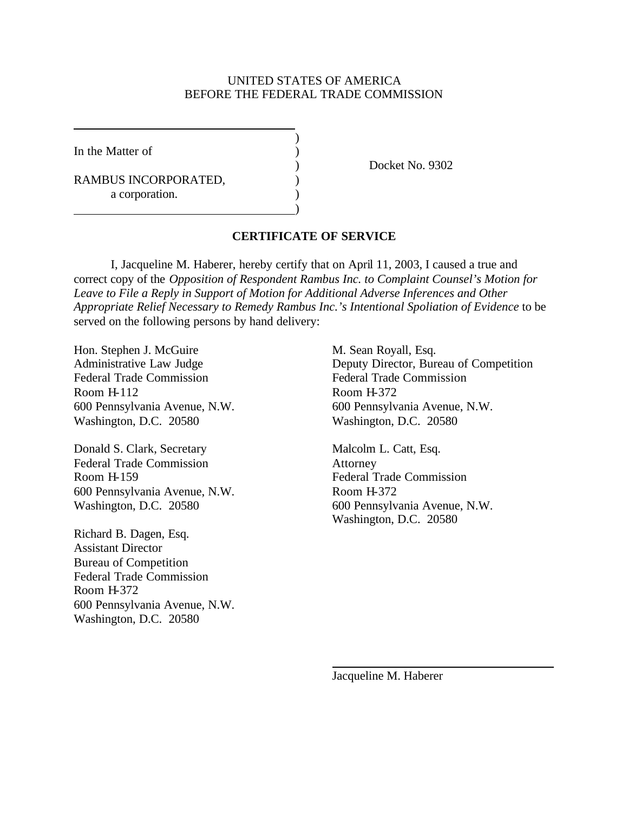#### UNITED STATES OF AMERICA BEFORE THE FEDERAL TRADE COMMISSION

)

)

In the Matter of  $\qquad \qquad$  )

RAMBUS INCORPORATED,  $($ a corporation.

) Docket No. 9302

#### **CERTIFICATE OF SERVICE**

I, Jacqueline M. Haberer, hereby certify that on April 11, 2003, I caused a true and correct copy of the *Opposition of Respondent Rambus Inc. to Complaint Counsel's Motion for Leave to File a Reply in Support of Motion for Additional Adverse Inferences and Other Appropriate Relief Necessary to Remedy Rambus Inc.'s Intentional Spoliation of Evidence* to be served on the following persons by hand delivery:

Hon. Stephen J. McGuire M. Sean Royall, Esq. Federal Trade Commission<br>
Federal Trade Commission Room H-112 Room H-372 Washington, D.C. 20580 Washington, D.C. 20580

Donald S. Clark, Secretary Malcolm L. Catt, Esq. Federal Trade Commission Attorney Room H-159 Federal Trade Commission 600 Pennsylvania Avenue, N.W. Room H-372

Richard B. Dagen, Esq. Assistant Director Bureau of Competition Federal Trade Commission Room H-372 600 Pennsylvania Avenue, N.W. Washington, D.C. 20580

Administrative Law Judge Deputy Director, Bureau of Competition 600 Pennsylvania Avenue, N.W. 600 Pennsylvania Avenue, N.W.

Washington, D.C. 20580 600 Pennsylvania Avenue, N.W. Washington, D.C. 20580

Jacqueline M. Haberer